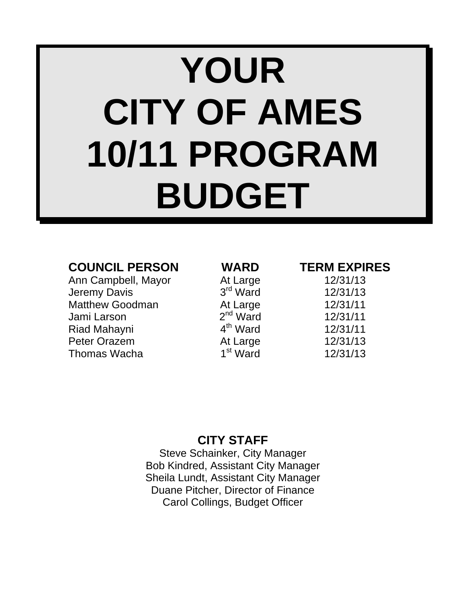# **YOUR CITY OF AMES 10/11 PROGRAM BUDGET**

### **COUNCIL PERSON WARD TERM EXPIRES**

Ann Campbell, Mayor At Large 12/31/13 Jeremy Davis 3<sup>rd</sup> Ward 12/31/13 Matthew Goodman At Large 12/31/11 Jami Larson 2nd Ward 12/31/11 Riad Mahayni 4th Ward 12/31/11 Peter Orazem **At Large** 12/31/13 Thomas Wacha  $1^{\text{st}}$  Ward  $12/31/13$ 

### **CITY STAFF**

Steve Schainker, City Manager Bob Kindred, Assistant City Manager Sheila Lundt, Assistant City Manager Duane Pitcher, Director of Finance Carol Collings, Budget Officer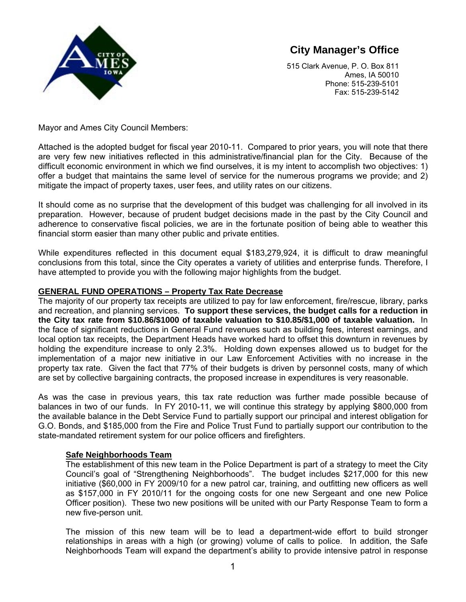

### **City Manager's Office**

515 Clark Avenue, P. O. Box 811 Ames, IA 50010 Phone: 515-239-5101 Fax: 515-239-5142

Mayor and Ames City Council Members:

Attached is the adopted budget for fiscal year 2010-11. Compared to prior years, you will note that there are very few new initiatives reflected in this administrative/financial plan for the City. Because of the difficult economic environment in which we find ourselves, it is my intent to accomplish two objectives: 1) offer a budget that maintains the same level of service for the numerous programs we provide; and 2) mitigate the impact of property taxes, user fees, and utility rates on our citizens.

It should come as no surprise that the development of this budget was challenging for all involved in its preparation. However, because of prudent budget decisions made in the past by the City Council and adherence to conservative fiscal policies, we are in the fortunate position of being able to weather this financial storm easier than many other public and private entities.

While expenditures reflected in this document equal \$183,279,924, it is difficult to draw meaningful conclusions from this total, since the City operates a variety of utilities and enterprise funds. Therefore, I have attempted to provide you with the following major highlights from the budget.

#### **GENERAL FUND OPERATIONS – Property Tax Rate Decrease**

The majority of our property tax receipts are utilized to pay for law enforcement, fire/rescue, library, parks and recreation, and planning services. **To support these services, the budget calls for a reduction in the City tax rate from \$10.86/\$1000 of taxable valuation to \$10.85/\$1,000 of taxable valuation.** In the face of significant reductions in General Fund revenues such as building fees, interest earnings, and local option tax receipts, the Department Heads have worked hard to offset this downturn in revenues by holding the expenditure increase to only 2.3%. Holding down expenses allowed us to budget for the implementation of a major new initiative in our Law Enforcement Activities with no increase in the property tax rate. Given the fact that 77% of their budgets is driven by personnel costs, many of which are set by collective bargaining contracts, the proposed increase in expenditures is very reasonable.

As was the case in previous years, this tax rate reduction was further made possible because of balances in two of our funds. In FY 2010-11, we will continue this strategy by applying \$800,000 from the available balance in the Debt Service Fund to partially support our principal and interest obligation for G.O. Bonds, and \$185,000 from the Fire and Police Trust Fund to partially support our contribution to the state-mandated retirement system for our police officers and firefighters.

#### **Safe Neighborhoods Team**

The establishment of this new team in the Police Department is part of a strategy to meet the City Council's goal of "Strengthening Neighborhoods". The budget includes \$217,000 for this new initiative (\$60,000 in FY 2009/10 for a new patrol car, training, and outfitting new officers as well as \$157,000 in FY 2010/11 for the ongoing costs for one new Sergeant and one new Police Officer position). These two new positions will be united with our Party Response Team to form a new five-person unit.

The mission of this new team will be to lead a department-wide effort to build stronger relationships in areas with a high (or growing) volume of calls to police. In addition, the Safe Neighborhoods Team will expand the department's ability to provide intensive patrol in response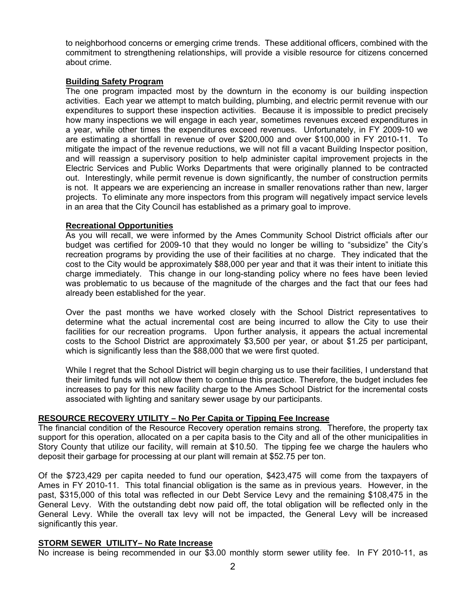to neighborhood concerns or emerging crime trends. These additional officers, combined with the commitment to strengthening relationships, will provide a visible resource for citizens concerned about crime.

#### **Building Safety Program**

The one program impacted most by the downturn in the economy is our building inspection activities. Each year we attempt to match building, plumbing, and electric permit revenue with our expenditures to support these inspection activities. Because it is impossible to predict precisely how many inspections we will engage in each year, sometimes revenues exceed expenditures in a year, while other times the expenditures exceed revenues. Unfortunately, in FY 2009-10 we are estimating a shortfall in revenue of over \$200,000 and over \$100,000 in FY 2010-11. To mitigate the impact of the revenue reductions, we will not fill a vacant Building Inspector position, and will reassign a supervisory position to help administer capital improvement projects in the Electric Services and Public Works Departments that were originally planned to be contracted out. Interestingly, while permit revenue is down significantly, the number of construction permits is not. It appears we are experiencing an increase in smaller renovations rather than new, larger projects. To eliminate any more inspectors from this program will negatively impact service levels in an area that the City Council has established as a primary goal to improve.

#### **Recreational Opportunities**

As you will recall, we were informed by the Ames Community School District officials after our budget was certified for 2009-10 that they would no longer be willing to "subsidize" the City's recreation programs by providing the use of their facilities at no charge. They indicated that the cost to the City would be approximately \$88,000 per year and that it was their intent to initiate this charge immediately. This change in our long-standing policy where no fees have been levied was problematic to us because of the magnitude of the charges and the fact that our fees had already been established for the year.

Over the past months we have worked closely with the School District representatives to determine what the actual incremental cost are being incurred to allow the City to use their facilities for our recreation programs. Upon further analysis, it appears the actual incremental costs to the School District are approximately \$3,500 per year, or about \$1.25 per participant, which is significantly less than the \$88,000 that we were first quoted.

While I regret that the School District will begin charging us to use their facilities, I understand that their limited funds will not allow them to continue this practice. Therefore, the budget includes fee increases to pay for this new facility charge to the Ames School District for the incremental costs associated with lighting and sanitary sewer usage by our participants.

#### **RESOURCE RECOVERY UTILITY – No Per Capita or Tipping Fee Increase**

The financial condition of the Resource Recovery operation remains strong. Therefore, the property tax support for this operation, allocated on a per capita basis to the City and all of the other municipalities in Story County that utilize our facility, will remain at \$10.50. The tipping fee we charge the haulers who deposit their garbage for processing at our plant will remain at \$52.75 per ton.

Of the \$723,429 per capita needed to fund our operation, \$423,475 will come from the taxpayers of Ames in FY 2010-11. This total financial obligation is the same as in previous years. However, in the past, \$315,000 of this total was reflected in our Debt Service Levy and the remaining \$108,475 in the General Levy. With the outstanding debt now paid off, the total obligation will be reflected only in the General Levy. While the overall tax levy will not be impacted, the General Levy will be increased significantly this year.

#### **STORM SEWER UTILITY– No Rate Increase**

No increase is being recommended in our \$3.00 monthly storm sewer utility fee. In FY 2010-11, as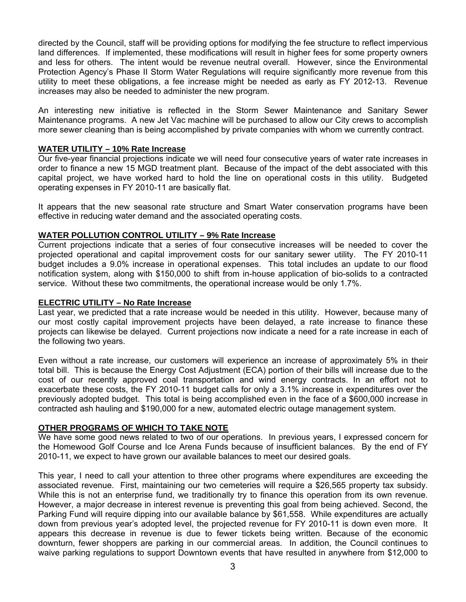directed by the Council, staff will be providing options for modifying the fee structure to reflect impervious land differences. If implemented, these modifications will result in higher fees for some property owners and less for others. The intent would be revenue neutral overall. However, since the Environmental Protection Agency's Phase II Storm Water Regulations will require significantly more revenue from this utility to meet these obligations, a fee increase might be needed as early as FY 2012-13. Revenue increases may also be needed to administer the new program.

An interesting new initiative is reflected in the Storm Sewer Maintenance and Sanitary Sewer Maintenance programs. A new Jet Vac machine will be purchased to allow our City crews to accomplish more sewer cleaning than is being accomplished by private companies with whom we currently contract.

#### **WATER UTILITY – 10% Rate Increase**

Our five-year financial projections indicate we will need four consecutive years of water rate increases in order to finance a new 15 MGD treatment plant. Because of the impact of the debt associated with this capital project, we have worked hard to hold the line on operational costs in this utility. Budgeted operating expenses in FY 2010-11 are basically flat.

It appears that the new seasonal rate structure and Smart Water conservation programs have been effective in reducing water demand and the associated operating costs.

#### **WATER POLLUTION CONTROL UTILITY – 9% Rate Increase**

Current projections indicate that a series of four consecutive increases will be needed to cover the projected operational and capital improvement costs for our sanitary sewer utility. The FY 2010-11 budget includes a 9.0% increase in operational expenses. This total includes an update to our flood notification system, along with \$150,000 to shift from in-house application of bio-solids to a contracted service. Without these two commitments, the operational increase would be only 1.7%.

#### **ELECTRIC UTILITY – No Rate Increase**

Last year, we predicted that a rate increase would be needed in this utility. However, because many of our most costly capital improvement projects have been delayed, a rate increase to finance these projects can likewise be delayed. Current projections now indicate a need for a rate increase in each of the following two years.

Even without a rate increase, our customers will experience an increase of approximately 5% in their total bill. This is because the Energy Cost Adjustment (ECA) portion of their bills will increase due to the cost of our recently approved coal transportation and wind energy contracts. In an effort not to exacerbate these costs, the FY 2010-11 budget calls for only a 3.1% increase in expenditures over the previously adopted budget. This total is being accomplished even in the face of a \$600,000 increase in contracted ash hauling and \$190,000 for a new, automated electric outage management system.

#### **OTHER PROGRAMS OF WHICH TO TAKE NOTE**

We have some good news related to two of our operations. In previous years, I expressed concern for the Homewood Golf Course and Ice Arena Funds because of insufficient balances. By the end of FY 2010-11, we expect to have grown our available balances to meet our desired goals.

This year, I need to call your attention to three other programs where expenditures are exceeding the associated revenue. First, maintaining our two cemeteries will require a \$26,565 property tax subsidy. While this is not an enterprise fund, we traditionally try to finance this operation from its own revenue. However, a major decrease in interest revenue is preventing this goal from being achieved. Second, the Parking Fund will require dipping into our available balance by \$61,558. While expenditures are actually down from previous year's adopted level, the projected revenue for FY 2010-11 is down even more. It appears this decrease in revenue is due to fewer tickets being written. Because of the economic downturn, fewer shoppers are parking in our commercial areas. In addition, the Council continues to waive parking regulations to support Downtown events that have resulted in anywhere from \$12,000 to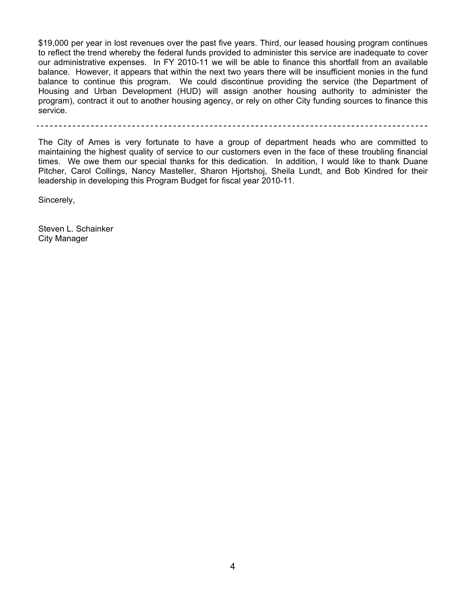\$19,000 per year in lost revenues over the past five years. Third, our leased housing program continues to reflect the trend whereby the federal funds provided to administer this service are inadequate to cover our administrative expenses. In FY 2010-11 we will be able to finance this shortfall from an available balance. However, it appears that within the next two years there will be insufficient monies in the fund balance to continue this program. We could discontinue providing the service (the Department of Housing and Urban Development (HUD) will assign another housing authority to administer the program), contract it out to another housing agency, or rely on other City funding sources to finance this service.

The City of Ames is very fortunate to have a group of department heads who are committed to maintaining the highest quality of service to our customers even in the face of these troubling financial times. We owe them our special thanks for this dedication. In addition, I would like to thank Duane Pitcher, Carol Collings, Nancy Masteller, Sharon Hjortshoj, Sheila Lundt, and Bob Kindred for their leadership in developing this Program Budget for fiscal year 2010-11.

Sincerely,

Steven L. Schainker City Manager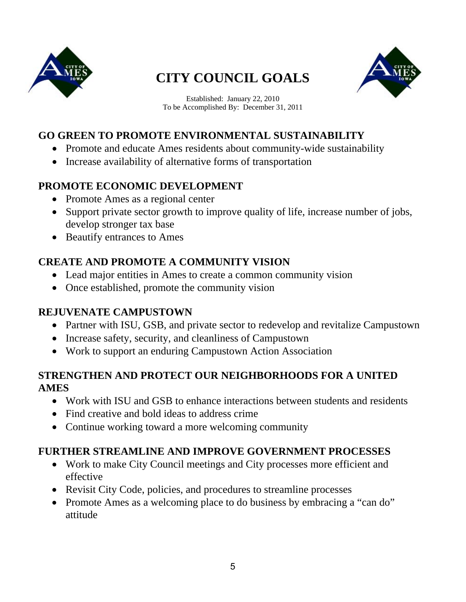

# **CITY COUNCIL GOALS**



Established: January 22, 2010 To be Accomplished By: December 31, 2011

#### **GO GREEN TO PROMOTE ENVIRONMENTAL SUSTAINABILITY**

- Promote and educate Ames residents about community-wide sustainability
- Increase availability of alternative forms of transportation

#### **PROMOTE ECONOMIC DEVELOPMENT**

- Promote Ames as a regional center
- Support private sector growth to improve quality of life, increase number of jobs, develop stronger tax base
- Beautify entrances to Ames

### **CREATE AND PROMOTE A COMMUNITY VISION**

- Lead major entities in Ames to create a common community vision
- Once established, promote the community vision

### **REJUVENATE CAMPUSTOWN**

- Partner with ISU, GSB, and private sector to redevelop and revitalize Campustown
- Increase safety, security, and cleanliness of Campustown
- Work to support an enduring Campustown Action Association

### **STRENGTHEN AND PROTECT OUR NEIGHBORHOODS FOR A UNITED AMES**

- Work with ISU and GSB to enhance interactions between students and residents
- Find creative and bold ideas to address crime
- Continue working toward a more welcoming community

### **FURTHER STREAMLINE AND IMPROVE GOVERNMENT PROCESSES**

- Work to make City Council meetings and City processes more efficient and effective
- Revisit City Code, policies, and procedures to streamline processes
- Promote Ames as a welcoming place to do business by embracing a "can do" attitude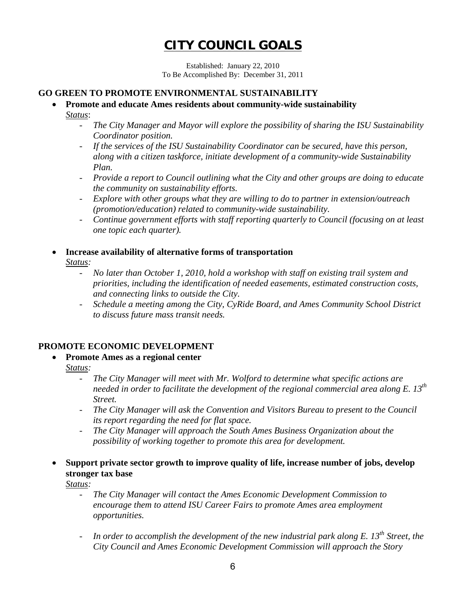### **CITY COUNCIL GOALS**

Established: January 22, 2010 To Be Accomplished By: December 31, 2011

#### **GO GREEN TO PROMOTE ENVIRONMENTAL SUSTAINABILITY**

- **Promote and educate Ames residents about community-wide sustainability**  *Status*:
	- *The City Manager and Mayor will explore the possibility of sharing the ISU Sustainability Coordinator position.*
	- *If the services of the ISU Sustainability Coordinator can be secured, have this person, along with a citizen taskforce, initiate development of a community-wide Sustainability Plan.*
	- *Provide a report to Council outlining what the City and other groups are doing to educate the community on sustainability efforts.*
	- *Explore with other groups what they are willing to do to partner in extension/outreach (promotion/education) related to community-wide sustainability.*
	- *Continue government efforts with staff reporting quarterly to Council (focusing on at least one topic each quarter).*

#### • **Increase availability of alternative forms of transportation**

- *Status:* 
	- *- No later than October 1, 2010, hold a workshop with staff on existing trail system and priorities, including the identification of needed easements, estimated construction costs, and connecting links to outside the City.*
	- *- Schedule a meeting among the City, CyRide Board, and Ames Community School District to discuss future mass transit needs.*

#### **PROMOTE ECONOMIC DEVELOPMENT**

- **Promote Ames as a regional center** *Status:* 
	- *- The City Manager will meet with Mr. Wolford to determine what specific actions are needed in order to facilitate the development of the regional commercial area along E. 13th Street.*
	- *- The City Manager will ask the Convention and Visitors Bureau to present to the Council its report regarding the need for flat space.*
	- *The City Manager will approach the South Ames Business Organization about the possibility of working together to promote this area for development.*
- **Support private sector growth to improve quality of life, increase number of jobs, develop stronger tax base**

*Status:* 

- *- The City Manager will contact the Ames Economic Development Commission to encourage them to attend ISU Career Fairs to promote Ames area employment opportunities.*
- *In order to accomplish the development of the new industrial park along E. 13<sup>th</sup> Street, the City Council and Ames Economic Development Commission will approach the Story*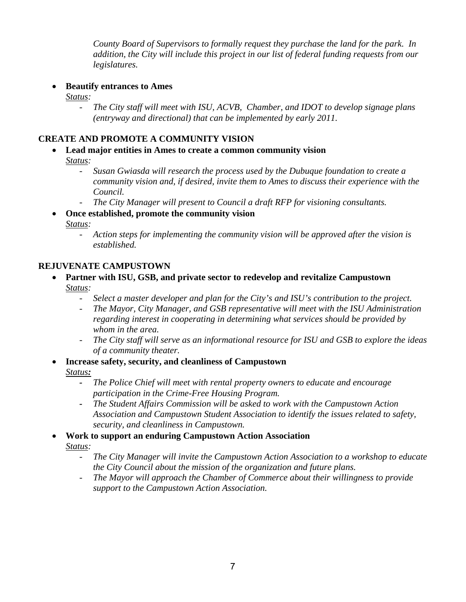*County Board of Supervisors to formally request they purchase the land for the park. In addition, the City will include this project in our list of federal funding requests from our legislatures.* 

- **Beautify entrances to Ames** 
	- *Status:* 
		- *- The City staff will meet with ISU, ACVB, Chamber, and IDOT to develop signage plans (entryway and directional) that can be implemented by early 2011.*

#### **CREATE AND PROMOTE A COMMUNITY VISION**

- **Lead major entities in Ames to create a common community vision**
	- *Status:* 
		- *- Susan Gwiasda will research the process used by the Dubuque foundation to create a community vision and, if desired, invite them to Ames to discuss their experience with the Council.*
		- *- The City Manager will present to Council a draft RFP for visioning consultants.*
- **Once established, promote the community vision**

*Status:* 

*- Action steps for implementing the community vision will be approved after the vision is established.* 

#### **REJUVENATE CAMPUSTOWN**

- **Partner with ISU, GSB, and private sector to redevelop and revitalize Campustown** *Status:* 
	- *- Select a master developer and plan for the City's and ISU's contribution to the project.*
	- *- The Mayor, City Manager, and GSB representative will meet with the ISU Administration regarding interest in cooperating in determining what services should be provided by whom in the area.*
	- *- The City staff will serve as an informational resource for ISU and GSB to explore the ideas of a community theater.*
- **Increase safety, security, and cleanliness of Campustown** *Status:*
	- *- The Police Chief will meet with rental property owners to educate and encourage participation in the Crime-Free Housing Program.*
	- *- The Student Affairs Commission will be asked to work with the Campustown Action Association and Campustown Student Association to identify the issues related to safety, security, and cleanliness in Campustown.*
- **Work to support an enduring Campustown Action Association**  *Status:* 
	- *- The City Manager will invite the Campustown Action Association to a workshop to educate the City Council about the mission of the organization and future plans.*
	- *- The Mayor will approach the Chamber of Commerce about their willingness to provide support to the Campustown Action Association.*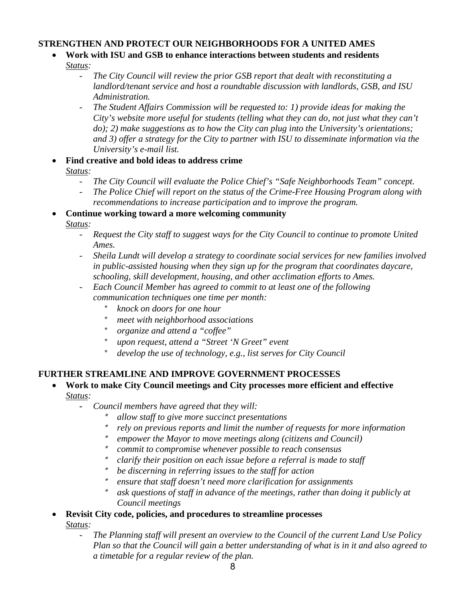#### **STRENGTHEN AND PROTECT OUR NEIGHBORHOODS FOR A UNITED AMES**

- **Work with ISU and GSB to enhance interactions between students and residents** *Status:* 
	- *The City Council will review the prior GSB report that dealt with reconstituting a landlord/tenant service and host a roundtable discussion with landlords, GSB, and ISU Administration.*
	- *The Student Affairs Commission will be requested to: 1) provide ideas for making the City's website more useful for students (telling what they can do, not just what they can't do); 2) make suggestions as to how the City can plug into the University's orientations; and 3) offer a strategy for the City to partner with ISU to disseminate information via the University's e-mail list.*
- **Find creative and bold ideas to address crime** *Status:* 
	- *- The City Council will evaluate the Police Chief's "Safe Neighborhoods Team" concept.*
	- *- The Police Chief will report on the status of the Crime-Free Housing Program along with recommendations to increase participation and to improve the program.*
- **Continue working toward a more welcoming community**

*Status:* 

- *- Request the City staff to suggest ways for the City Council to continue to promote United Ames.*
- *- Sheila Lundt will develop a strategy to coordinate social services for new families involved in public-assisted housing when they sign up for the program that coordinates daycare, schooling, skill development, housing, and other acclimation efforts to Ames.*
- *- Each Council Member has agreed to commit to at least one of the following communication techniques one time per month:* 
	- *\* knock on doors for one hour*
	- *\* meet with neighborhood associations*
	- *\* organize and attend a "coffee"*
	- *\* upon request, attend a "Street 'N Greet" event*
	- *\* develop the use of technology, e.g., list serves for City Council*

#### **FURTHER STREAMLINE AND IMPROVE GOVERNMENT PROCESSES**

- **Work to make City Council meetings and City processes more efficient and effective**  *Status:* 
	- *- Council members have agreed that they will:*
		- **\****allow staff to give more succinct presentations*
		- **\****rely on previous reports and limit the number of requests for more information*
		- **\****empower the Mayor to move meetings along (citizens and Council)*
		- **\****commit to compromise whenever possible to reach consensus*
		- **\****clarify their position on each issue before a referral is made to staff*
		- **\****be discerning in referring issues to the staff for action*
		- **\****ensure that staff doesn't need more clarification for assignments*
		- **\*** *ask questions of staff in advance of the meetings, rather than doing it publicly at Council meetings*
- **Revisit City code, policies, and procedures to streamline processes**

*Status:* 

*- The Planning staff will present an overview to the Council of the current Land Use Policy Plan so that the Council will gain a better understanding of what is in it and also agreed to a timetable for a regular review of the plan.*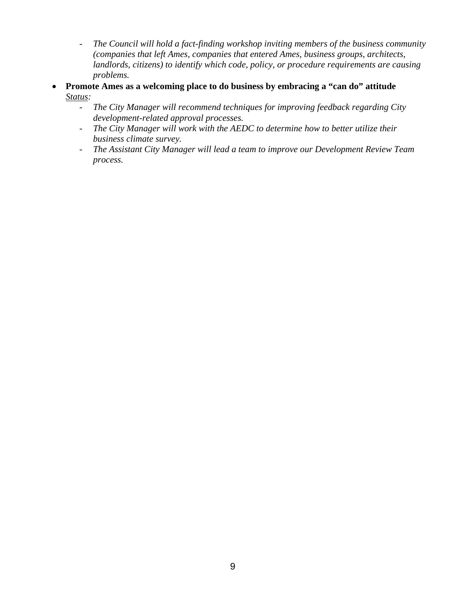- *- The Council will hold a fact-finding workshop inviting members of the business community (companies that left Ames, companies that entered Ames, business groups, architects, landlords, citizens) to identify which code, policy, or procedure requirements are causing problems.*
- **Promote Ames as a welcoming place to do business by embracing a "can do" attitude** *Status:* 
	- *- The City Manager will recommend techniques for improving feedback regarding City development-related approval processes.*
	- *- The City Manager will work with the AEDC to determine how to better utilize their business climate survey.*
	- *- The Assistant City Manager will lead a team to improve our Development Review Team process.*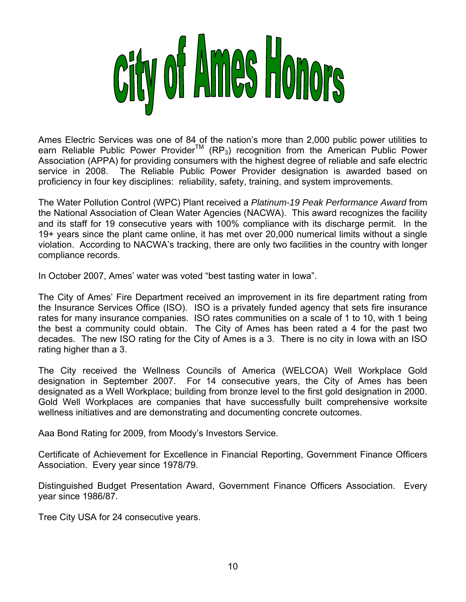

Ames Electric Services was one of 84 of the nation's more than 2,000 public power utilities to earn Reliable Public Power Provider<sup>TM</sup>  $(RP_3)$  recognition from the American Public Power Association (APPA) for providing consumers with the highest degree of reliable and safe electric service in 2008. The Reliable Public Power Provider designation is awarded based on proficiency in four key disciplines: reliability, safety, training, and system improvements.

The Water Pollution Control (WPC) Plant received a *Platinum-19 Peak Performance Award* from the National Association of Clean Water Agencies (NACWA). This award recognizes the facility and its staff for 19 consecutive years with 100% compliance with its discharge permit. In the 19+ years since the plant came online, it has met over 20,000 numerical limits without a single violation. According to NACWA's tracking, there are only two facilities in the country with longer compliance records.

In October 2007, Ames' water was voted "best tasting water in Iowa".

The City of Ames' Fire Department received an improvement in its fire department rating from the Insurance Services Office (ISO). ISO is a privately funded agency that sets fire insurance rates for many insurance companies. ISO rates communities on a scale of 1 to 10, with 1 being the best a community could obtain. The City of Ames has been rated a 4 for the past two decades. The new ISO rating for the City of Ames is a 3. There is no city in Iowa with an ISO rating higher than a 3.

The City received the Wellness Councils of America (WELCOA) Well Workplace Gold designation in September 2007. For 14 consecutive years, the City of Ames has been designated as a Well Workplace; building from bronze level to the first gold designation in 2000. Gold Well Workplaces are companies that have successfully built comprehensive worksite wellness initiatives and are demonstrating and documenting concrete outcomes.

Aaa Bond Rating for 2009, from Moody's Investors Service.

Certificate of Achievement for Excellence in Financial Reporting, Government Finance Officers Association. Every year since 1978/79.

Distinguished Budget Presentation Award, Government Finance Officers Association. Every year since 1986/87.

Tree City USA for 24 consecutive years.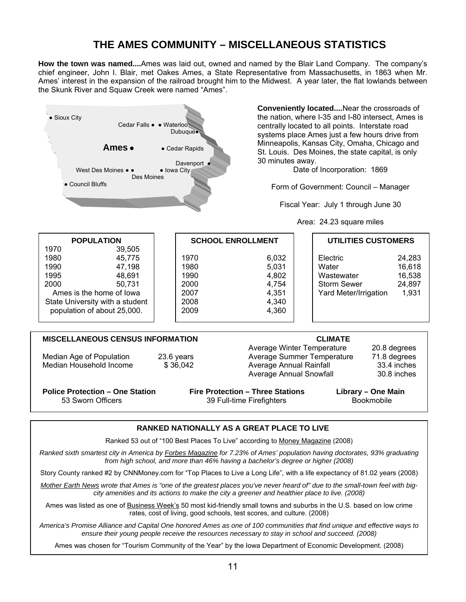#### **THE AMES COMMUNITY – MISCELLANEOUS STATISTICS**

**How the town was named....**Ames was laid out, owned and named by the Blair Land Company. The company's chief engineer, John I. Blair, met Oakes Ames, a State Representative from Massachusetts, in 1863 when Mr. Ames' interest in the expansion of the railroad brought him to the Midwest. A year later, the flat lowlands between the Skunk River and Squaw Creek were named "Ames".



#### **RANKED NATIONALLY AS A GREAT PLACE TO LIVE**

Ranked 53 out of "100 Best Places To Live" according to Money Magazine (2008)

*Ranked sixth smartest city in America by Forbes Magazine for 7.23% of Ames' population having doctorates, 93% graduating*  from high school, and more than 46% having a bachelor's degree or higher (2008)

Story County ranked #2 by CNNMoney.com for "Top Places to Live a Long Life", with a life expectancy of 81.02 years (2008)

*Mother Earth News wrote that Ames is "one of the greatest places you've never heard of" due to the small-town feel with bigcity amenities and its actions to make the city a greener and healthier place to live. (2008)* 

Ames was listed as one of Business Week's 50 most kid-friendly small towns and suburbs in the U.S. based on low crime rates, cost of living, good schools, test scores, and culture. (2008)

*America's Promise Alliance and Capital One honored Ames as one of 100 communities that find unique and effective ways to ensure their young people receive the resources necessary to stay in school and succeed. (2008)* 

Ames was chosen for "Tourism Community of the Year" by the Iowa Department of Economic Development. (2008)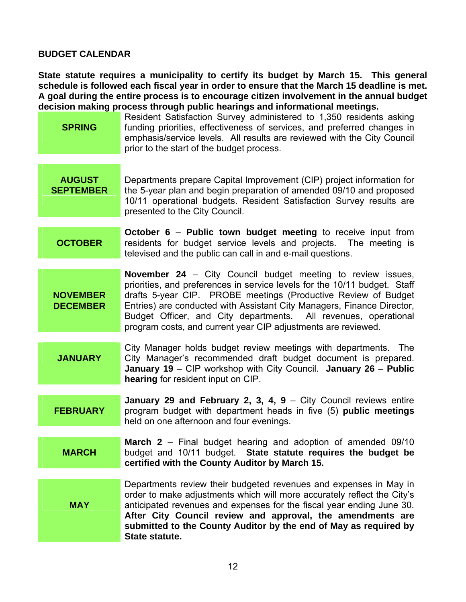#### **BUDGET CALENDAR**

**State statute requires a municipality to certify its budget by March 15. This general schedule is followed each fiscal year in order to ensure that the March 15 deadline is met. A goal during the entire process is to encourage citizen involvement in the annual budget decision making process through public hearings and informational meetings.** 

| <b>SPRING</b>                      | Resident Satisfaction Survey administered to 1,350 residents asking<br>funding priorities, effectiveness of services, and preferred changes in<br>emphasis/service levels. All results are reviewed with the City Council<br>prior to the start of the budget process.                                                                                                                                                          |
|------------------------------------|---------------------------------------------------------------------------------------------------------------------------------------------------------------------------------------------------------------------------------------------------------------------------------------------------------------------------------------------------------------------------------------------------------------------------------|
| <b>AUGUST</b><br><b>SEPTEMBER</b>  | Departments prepare Capital Improvement (CIP) project information for<br>the 5-year plan and begin preparation of amended 09/10 and proposed<br>10/11 operational budgets. Resident Satisfaction Survey results are<br>presented to the City Council.                                                                                                                                                                           |
| <b>OCTOBER</b>                     | October 6 – Public town budget meeting to receive input from<br>residents for budget service levels and projects. The meeting is<br>televised and the public can call in and e-mail questions.                                                                                                                                                                                                                                  |
| <b>NOVEMBER</b><br><b>DECEMBER</b> | <b>November 24</b> - City Council budget meeting to review issues,<br>priorities, and preferences in service levels for the 10/11 budget. Staff<br>drafts 5-year CIP. PROBE meetings (Productive Review of Budget<br>Entries) are conducted with Assistant City Managers, Finance Director,<br>Budget Officer, and City departments. All revenues, operational<br>program costs, and current year CIP adjustments are reviewed. |
| <b>JANUARY</b>                     | City Manager holds budget review meetings with departments. The<br>City Manager's recommended draft budget document is prepared.<br>January 19 - CIP workshop with City Council. January 26 - Public<br>hearing for resident input on CIP.                                                                                                                                                                                      |
| <b>FEBRUARY</b>                    | January 29 and February 2, 3, 4, $9 - City$ Council reviews entire<br>program budget with department heads in five (5) public meetings<br>held on one afternoon and four evenings.                                                                                                                                                                                                                                              |
| <b>MARCH</b>                       | March 2 – Final budget hearing and adoption of amended 09/10<br>budget and 10/11 budget. State statute requires the budget be<br>certified with the County Auditor by March 15.                                                                                                                                                                                                                                                 |
| <b>MAY</b>                         | Departments review their budgeted revenues and expenses in May in<br>order to make adjustments which will more accurately reflect the City's<br>anticipated revenues and expenses for the fiscal year ending June 30.<br>After City Council review and approval, the amendments are<br>submitted to the County Auditor by the end of May as required by<br>State statute.                                                       |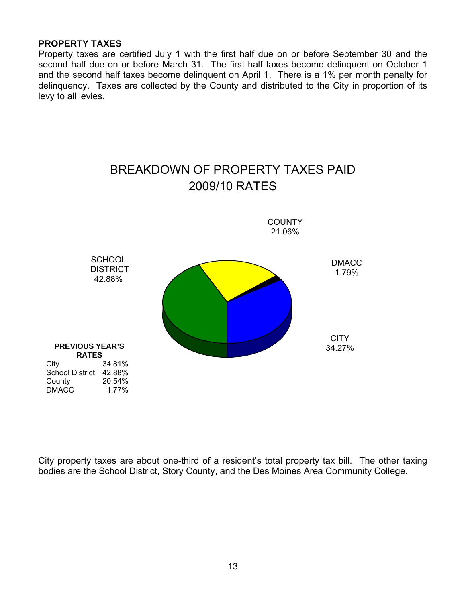#### **PROPERTY TAXES**

Property taxes are certified July 1 with the first half due on or before September 30 and the second half due on or before March 31. The first half taxes become delinquent on October 1 and the second half taxes become delinquent on April 1. There is a 1% per month penalty for delinquency. Taxes are collected by the County and distributed to the City in proportion of its levy to all levies.



City property taxes are about one-third of a resident's total property tax bill. The other taxing bodies are the School District, Story County, and the Des Moines Area Community College.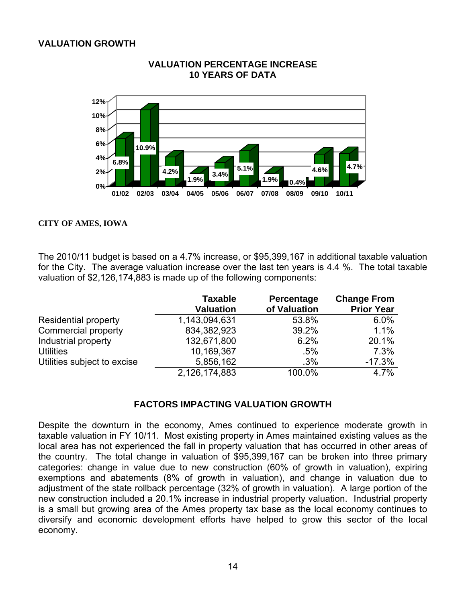#### **VALUATION GROWTH**



#### **VALUATION PERCENTAGE INCREASE 10 YEARS OF DATA**

#### **CITY OF AMES, IOWA**

The 2010/11 budget is based on a 4.7% increase, or \$95,399,167 in additional taxable valuation for the City. The average valuation increase over the last ten years is 4.4 %. The total taxable valuation of \$2,126,174,883 is made up of the following components:

|                             | <b>Taxable</b><br><b>Valuation</b> | Percentage<br>of Valuation | <b>Change From</b><br><b>Prior Year</b> |
|-----------------------------|------------------------------------|----------------------------|-----------------------------------------|
| Residential property        | 1,143,094,631                      | 53.8%                      | 6.0%                                    |
| Commercial property         | 834, 382, 923                      | 39.2%                      | 1.1%                                    |
| Industrial property         | 132,671,800                        | 6.2%                       | 20.1%                                   |
| <b>Utilities</b>            | 10,169,367                         | $.5\%$                     | 7.3%                                    |
| Utilities subject to excise | 5,856,162                          | $.3\%$                     | $-17.3%$                                |
|                             | 2,126,174,883                      | 100.0%                     | 4.7%                                    |

#### **FACTORS IMPACTING VALUATION GROWTH**

Despite the downturn in the economy, Ames continued to experience moderate growth in taxable valuation in FY 10/11. Most existing property in Ames maintained existing values as the local area has not experienced the fall in property valuation that has occurred in other areas of the country. The total change in valuation of \$95,399,167 can be broken into three primary categories: change in value due to new construction (60% of growth in valuation), expiring exemptions and abatements (8% of growth in valuation), and change in valuation due to adjustment of the state rollback percentage (32% of growth in valuation). A large portion of the new construction included a 20.1% increase in industrial property valuation. Industrial property is a small but growing area of the Ames property tax base as the local economy continues to diversify and economic development efforts have helped to grow this sector of the local economy.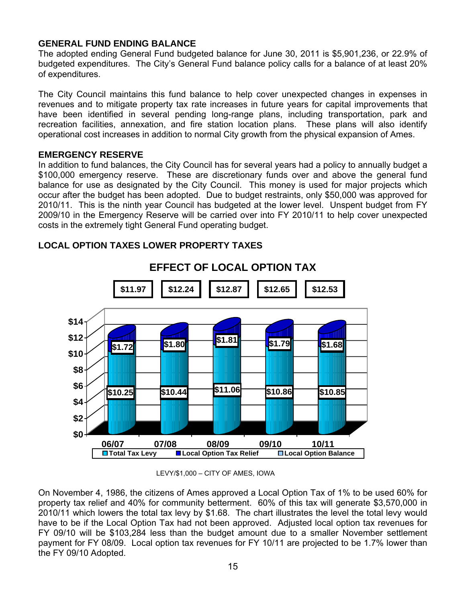#### **GENERAL FUND ENDING BALANCE**

The adopted ending General Fund budgeted balance for June 30, 2011 is \$5,901,236, or 22.9% of budgeted expenditures. The City's General Fund balance policy calls for a balance of at least 20% of expenditures.

The City Council maintains this fund balance to help cover unexpected changes in expenses in revenues and to mitigate property tax rate increases in future years for capital improvements that have been identified in several pending long-range plans, including transportation, park and recreation facilities, annexation, and fire station location plans. These plans will also identify operational cost increases in addition to normal City growth from the physical expansion of Ames.

#### **EMERGENCY RESERVE**

In addition to fund balances, the City Council has for several years had a policy to annually budget a \$100,000 emergency reserve. These are discretionary funds over and above the general fund balance for use as designated by the City Council. This money is used for major projects which occur after the budget has been adopted. Due to budget restraints, only \$50,000 was approved for 2010/11. This is the ninth year Council has budgeted at the lower level. Unspent budget from FY 2009/10 in the Emergency Reserve will be carried over into FY 2010/11 to help cover unexpected costs in the extremely tight General Fund operating budget.

#### **LOCAL OPTION TAXES LOWER PROPERTY TAXES**



LEVY/\$1,000 – CITY OF AMES, IOWA

On November 4, 1986, the citizens of Ames approved a Local Option Tax of 1% to be used 60% for property tax relief and 40% for community betterment. 60% of this tax will generate \$3,570,000 in 2010/11 which lowers the total tax levy by \$1.68. The chart illustrates the level the total levy would have to be if the Local Option Tax had not been approved. Adjusted local option tax revenues for FY 09/10 will be \$103,284 less than the budget amount due to a smaller November settlement payment for FY 08/09. Local option tax revenues for FY 10/11 are projected to be 1.7% lower than the FY 09/10 Adopted.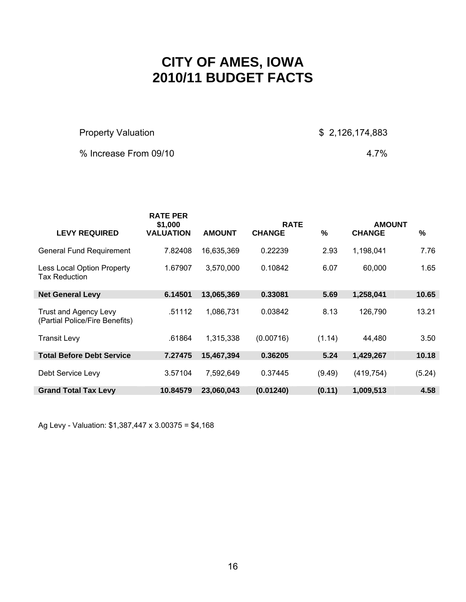### **CITY OF AMES, IOWA 2010/11 BUDGET FACTS**

Property Valuation **\$ 2,126,174,883** 

% Increase From 09/10 4.7%

|                                                                | <b>RATE PER</b><br>\$1,000 |               | <b>RATE</b>   |               | <b>AMOUNT</b> |               |
|----------------------------------------------------------------|----------------------------|---------------|---------------|---------------|---------------|---------------|
| <b>LEVY REQUIRED</b>                                           | <b>VALUATION</b>           | <b>AMOUNT</b> | <b>CHANGE</b> | $\frac{0}{0}$ | <b>CHANGE</b> | $\frac{0}{0}$ |
| <b>General Fund Requirement</b>                                | 7.82408                    | 16,635,369    | 0.22239       | 2.93          | 1,198,041     | 7.76          |
| Less Local Option Property<br><b>Tax Reduction</b>             | 1.67907                    | 3,570,000     | 0.10842       | 6.07          | 60,000        | 1.65          |
| <b>Net General Levy</b>                                        | 6.14501                    | 13,065,369    | 0.33081       | 5.69          | 1,258,041     | 10.65         |
| <b>Trust and Agency Levy</b><br>(Partial Police/Fire Benefits) | .51112                     | 1,086,731     | 0.03842       | 8.13          | 126,790       | 13.21         |
| <b>Transit Levy</b>                                            | .61864                     | 1,315,338     | (0.00716)     | (1.14)        | 44.480        | 3.50          |
| <b>Total Before Debt Service</b>                               | 7.27475                    | 15,467,394    | 0.36205       | 5.24          | 1,429,267     | 10.18         |
| Debt Service Levy                                              | 3.57104                    | 7.592.649     | 0.37445       | (9.49)        | (419, 754)    | (5.24)        |
| <b>Grand Total Tax Levy</b>                                    | 10.84579                   | 23,060,043    | (0.01240)     | (0.11)        | 1,009,513     | 4.58          |

Ag Levy - Valuation: \$1,387,447 x 3.00375 = \$4,168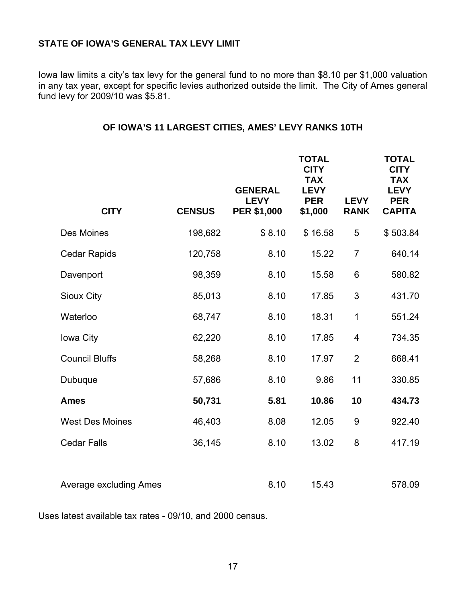#### **STATE OF IOWA'S GENERAL TAX LEVY LIMIT**

Iowa law limits a city's tax levy for the general fund to no more than \$8.10 per \$1,000 valuation in any tax year, except for specific levies authorized outside the limit. The City of Ames general fund levy for 2009/10 was \$5.81.

| <b>CITY</b>            | <b>CENSUS</b> | <b>GENERAL</b><br><b>LEVY</b><br><b>PER \$1,000</b> | <b>TOTAL</b><br><b>CITY</b><br><b>TAX</b><br><b>LEVY</b><br><b>PER</b><br>\$1,000 | <b>LEVY</b><br><b>RANK</b> | <b>TOTAL</b><br><b>CITY</b><br><b>TAX</b><br><b>LEVY</b><br><b>PER</b><br><b>CAPITA</b> |
|------------------------|---------------|-----------------------------------------------------|-----------------------------------------------------------------------------------|----------------------------|-----------------------------------------------------------------------------------------|
|                        |               |                                                     |                                                                                   |                            |                                                                                         |
| Des Moines             | 198,682       | \$8.10                                              | \$16.58                                                                           | 5                          | \$503.84                                                                                |
| <b>Cedar Rapids</b>    | 120,758       | 8.10                                                | 15.22                                                                             | $\overline{7}$             | 640.14                                                                                  |
| Davenport              | 98,359        | 8.10                                                | 15.58                                                                             | 6                          | 580.82                                                                                  |
| <b>Sioux City</b>      | 85,013        | 8.10                                                | 17.85                                                                             | 3                          | 431.70                                                                                  |
| Waterloo               | 68,747        | 8.10                                                | 18.31                                                                             | 1                          | 551.24                                                                                  |
| Iowa City              | 62,220        | 8.10                                                | 17.85                                                                             | $\overline{4}$             | 734.35                                                                                  |
| <b>Council Bluffs</b>  | 58,268        | 8.10                                                | 17.97                                                                             | $\overline{2}$             | 668.41                                                                                  |
| Dubuque                | 57,686        | 8.10                                                | 9.86                                                                              | 11                         | 330.85                                                                                  |
| <b>Ames</b>            | 50,731        | 5.81                                                | 10.86                                                                             | 10                         | 434.73                                                                                  |
| <b>West Des Moines</b> | 46,403        | 8.08                                                | 12.05                                                                             | $9\,$                      | 922.40                                                                                  |
| <b>Cedar Falls</b>     | 36,145        | 8.10                                                | 13.02                                                                             | 8                          | 417.19                                                                                  |
|                        |               |                                                     |                                                                                   |                            |                                                                                         |
| Average excluding Ames |               | 8.10                                                | 15.43                                                                             |                            | 578.09                                                                                  |

#### **OF IOWA'S 11 LARGEST CITIES, AMES' LEVY RANKS 10TH**

Uses latest available tax rates - 09/10, and 2000 census.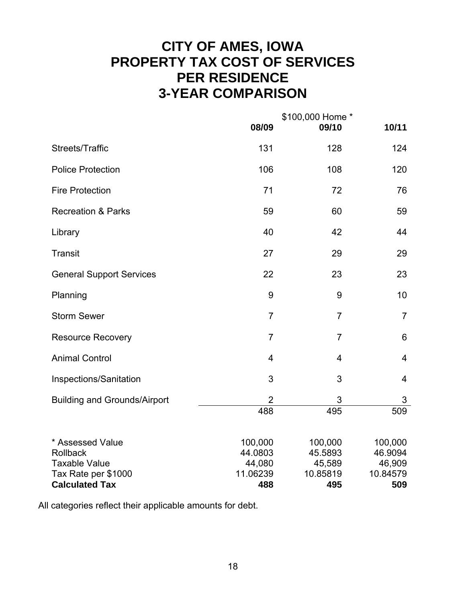### **CITY OF AMES, IOWA PROPERTY TAX COST OF SERVICES PER RESIDENCE 3-YEAR COMPARISON**

|                                                                                    | 08/09                                    | \$100,000 Home *<br>09/10                | 10/11                                    |
|------------------------------------------------------------------------------------|------------------------------------------|------------------------------------------|------------------------------------------|
| Streets/Traffic                                                                    | 131                                      | 128                                      | 124                                      |
| <b>Police Protection</b>                                                           | 106                                      | 108                                      | 120                                      |
| <b>Fire Protection</b>                                                             | 71                                       | 72                                       | 76                                       |
| <b>Recreation &amp; Parks</b>                                                      | 59                                       | 60                                       | 59                                       |
| Library                                                                            | 40                                       | 42                                       | 44                                       |
| <b>Transit</b>                                                                     | 27                                       | 29                                       | 29                                       |
| <b>General Support Services</b>                                                    | 22                                       | 23                                       | 23                                       |
| Planning                                                                           | 9                                        | 9                                        | 10                                       |
| <b>Storm Sewer</b>                                                                 | $\overline{7}$                           | $\overline{7}$                           | $\overline{7}$                           |
| <b>Resource Recovery</b>                                                           | $\overline{7}$                           | $\overline{7}$                           | 6                                        |
| <b>Animal Control</b>                                                              | $\overline{4}$                           | $\overline{4}$                           | $\overline{4}$                           |
| Inspections/Sanitation                                                             | 3                                        | 3                                        | $\overline{4}$                           |
| <b>Building and Grounds/Airport</b>                                                | $\overline{2}$                           | 3                                        | 3                                        |
|                                                                                    | 488                                      | 495                                      | 509                                      |
| * Assessed Value<br><b>Rollback</b><br><b>Taxable Value</b><br>Tax Rate per \$1000 | 100,000<br>44.0803<br>44,080<br>11.06239 | 100,000<br>45.5893<br>45,589<br>10.85819 | 100,000<br>46.9094<br>46,909<br>10.84579 |
| <b>Calculated Tax</b>                                                              | 488                                      | 495                                      | 509                                      |

All categories reflect their applicable amounts for debt.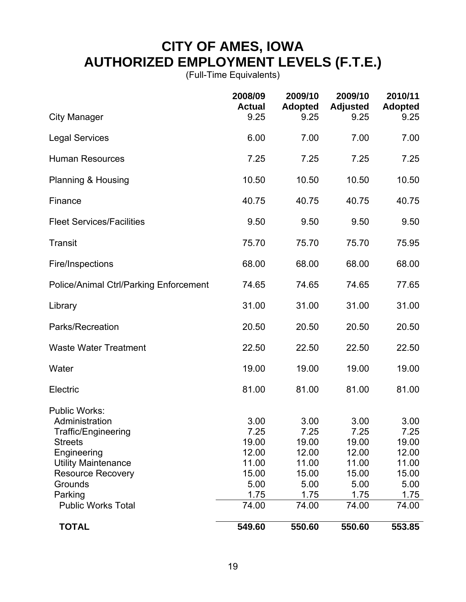### **CITY OF AMES, IOWA AUTHORIZED EMPLOYMENT LEVELS (F.T.E.)**

(Full-Time Equivalents)

|                                                                                                | 2008/09<br><b>Actual</b>       | 2009/10<br><b>Adopted</b>      | 2009/10<br><b>Adjusted</b>     | 2010/11<br><b>Adopted</b>      |
|------------------------------------------------------------------------------------------------|--------------------------------|--------------------------------|--------------------------------|--------------------------------|
| <b>City Manager</b>                                                                            | 9.25                           | 9.25                           | 9.25                           | 9.25                           |
| <b>Legal Services</b>                                                                          | 6.00                           | 7.00                           | 7.00                           | 7.00                           |
| <b>Human Resources</b>                                                                         | 7.25                           | 7.25                           | 7.25                           | 7.25                           |
| Planning & Housing                                                                             | 10.50                          | 10.50                          | 10.50                          | 10.50                          |
| Finance                                                                                        | 40.75                          | 40.75                          | 40.75                          | 40.75                          |
| <b>Fleet Services/Facilities</b>                                                               | 9.50                           | 9.50                           | 9.50                           | 9.50                           |
| Transit                                                                                        | 75.70                          | 75.70                          | 75.70                          | 75.95                          |
| Fire/Inspections                                                                               | 68.00                          | 68.00                          | 68.00                          | 68.00                          |
| <b>Police/Animal Ctrl/Parking Enforcement</b>                                                  | 74.65                          | 74.65                          | 74.65                          | 77.65                          |
| Library                                                                                        | 31.00                          | 31.00                          | 31.00                          | 31.00                          |
| Parks/Recreation                                                                               | 20.50                          | 20.50                          | 20.50                          | 20.50                          |
| <b>Waste Water Treatment</b>                                                                   | 22.50                          | 22.50                          | 22.50                          | 22.50                          |
| Water                                                                                          | 19.00                          | 19.00                          | 19.00                          | 19.00                          |
| Electric                                                                                       | 81.00                          | 81.00                          | 81.00                          | 81.00                          |
| <b>Public Works:</b><br>Administration<br>Traffic/Engineering<br><b>Streets</b><br>Engineering | 3.00<br>7.25<br>19.00<br>12.00 | 3.00<br>7.25<br>19.00<br>12.00 | 3.00<br>7.25<br>19.00<br>12.00 | 3.00<br>7.25<br>19.00<br>12.00 |
| <b>Utility Maintenance</b><br><b>Resource Recovery</b><br>Grounds<br>Parking                   | 11.00<br>15.00<br>5.00<br>1.75 | 11.00<br>15.00<br>5.00<br>1.75 | 11.00<br>15.00<br>5.00<br>1.75 | 11.00<br>15.00<br>5.00<br>1.75 |
| <b>Public Works Total</b><br><b>TOTAL</b>                                                      | 74.00<br>549.60                | 74.00<br>550.60                | 74.00<br>550.60                | 74.00<br>553.85                |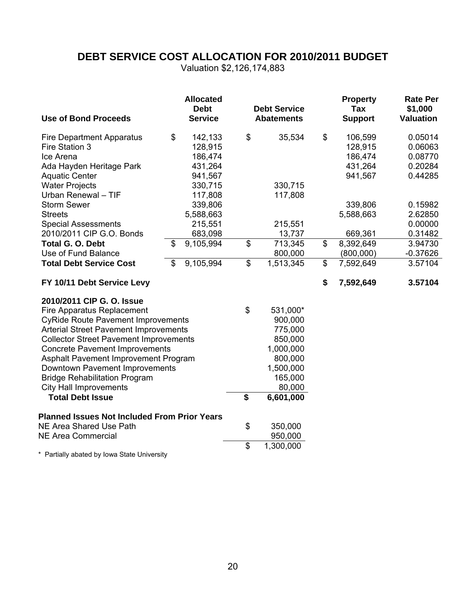### **DEBT SERVICE COST ALLOCATION FOR 2010/2011 BUDGET**

Valuation \$2,126,174,883

| <b>Use of Bond Proceeds</b>                         | <b>Allocated</b><br><b>Debt</b><br><b>Service</b> |                          | <b>Debt Service</b><br><b>Abatements</b> |                | <b>Property</b><br><b>Tax</b><br><b>Support</b> | <b>Rate Per</b><br>\$1,000<br><b>Valuation</b> |
|-----------------------------------------------------|---------------------------------------------------|--------------------------|------------------------------------------|----------------|-------------------------------------------------|------------------------------------------------|
| <b>Fire Department Apparatus</b>                    | \$<br>142,133                                     | \$                       | 35,534                                   | \$             | 106,599                                         | 0.05014                                        |
| Fire Station 3                                      | 128,915                                           |                          |                                          |                | 128,915                                         | 0.06063                                        |
| Ice Arena                                           | 186,474                                           |                          |                                          |                | 186,474                                         | 0.08770                                        |
| Ada Hayden Heritage Park                            | 431,264                                           |                          |                                          |                | 431,264                                         | 0.20284                                        |
| <b>Aquatic Center</b>                               | 941,567                                           |                          |                                          |                | 941,567                                         | 0.44285                                        |
| <b>Water Projects</b>                               | 330,715                                           |                          | 330,715                                  |                |                                                 |                                                |
| Urban Renewal - TIF                                 | 117,808                                           |                          | 117,808                                  |                |                                                 |                                                |
| <b>Storm Sewer</b>                                  | 339,806                                           |                          |                                          |                | 339,806                                         | 0.15982                                        |
| <b>Streets</b>                                      | 5,588,663                                         |                          |                                          |                | 5,588,663                                       | 2.62850                                        |
| <b>Special Assessments</b>                          | 215,551                                           |                          | 215,551                                  |                |                                                 | 0.00000                                        |
| 2010/2011 CIP G.O. Bonds                            | 683,098                                           |                          | 13,737                                   |                | 669,361                                         | 0.31482                                        |
| Total G. O. Debt                                    | \$<br>9,105,994                                   | \$                       | 713,345                                  | $\mathfrak{S}$ | 8,392,649                                       | 3.94730                                        |
| Use of Fund Balance                                 |                                                   |                          | 800,000                                  |                | (800,000)                                       | $-0.37626$                                     |
| <b>Total Debt Service Cost</b>                      | \$<br>9,105,994                                   | $\overline{\mathcal{S}}$ | 1,513,345                                | \$             | 7,592,649                                       | 3.57104                                        |
| FY 10/11 Debt Service Levy                          |                                                   |                          |                                          | \$             | 7,592,649                                       | 3.57104                                        |
| 2010/2011 CIP G. O. Issue                           |                                                   |                          |                                          |                |                                                 |                                                |
| Fire Apparatus Replacement                          |                                                   | \$                       | 531,000*                                 |                |                                                 |                                                |
| <b>CyRide Route Pavement Improvements</b>           |                                                   |                          | 900,000                                  |                |                                                 |                                                |
| <b>Arterial Street Pavement Improvements</b>        |                                                   |                          | 775,000                                  |                |                                                 |                                                |
| <b>Collector Street Pavement Improvements</b>       |                                                   |                          | 850,000                                  |                |                                                 |                                                |
| <b>Concrete Pavement Improvements</b>               |                                                   |                          | 1,000,000                                |                |                                                 |                                                |
| Asphalt Pavement Improvement Program                |                                                   |                          | 800,000                                  |                |                                                 |                                                |
| Downtown Pavement Improvements                      |                                                   |                          | 1,500,000                                |                |                                                 |                                                |
| <b>Bridge Rehabilitation Program</b>                |                                                   |                          | 165,000                                  |                |                                                 |                                                |
| <b>City Hall Improvements</b>                       |                                                   |                          | 80,000                                   |                |                                                 |                                                |
| <b>Total Debt Issue</b>                             |                                                   | \$                       | 6,601,000                                |                |                                                 |                                                |
| <b>Planned Issues Not Included From Prior Years</b> |                                                   |                          |                                          |                |                                                 |                                                |
| NE Area Shared Use Path                             |                                                   | \$                       | 350,000                                  |                |                                                 |                                                |
| <b>NE Area Commercial</b>                           |                                                   |                          | 950,000                                  |                |                                                 |                                                |
|                                                     |                                                   | $\overline{\mathcal{S}}$ | 1,300,000                                |                |                                                 |                                                |
| * Partially abated by Iowa State University         |                                                   |                          |                                          |                |                                                 |                                                |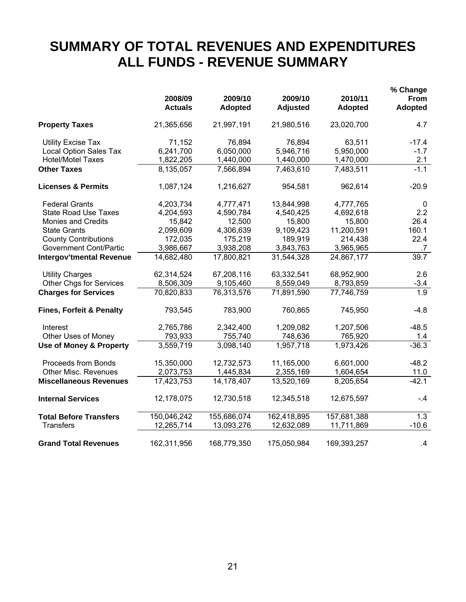### **SUMMARY OF TOTAL REVENUES AND EXPENDITURES ALL FUNDS - REVENUE SUMMARY**

|                                     |                |                |                 |             | % Change       |
|-------------------------------------|----------------|----------------|-----------------|-------------|----------------|
|                                     | 2008/09        | 2009/10        | 2009/10         | 2010/11     | From           |
|                                     | <b>Actuals</b> | <b>Adopted</b> | <b>Adjusted</b> | Adopted     | <b>Adopted</b> |
| <b>Property Taxes</b>               | 21,365,656     | 21,997,191     | 21,980,516      | 23,020,700  | 4.7            |
| <b>Utility Excise Tax</b>           | 71,152         | 76,894         | 76,894          | 63,511      | $-17.4$        |
| Local Option Sales Tax              | 6,241,700      | 6,050,000      | 5,946,716       | 5,950,000   | $-1.7$         |
| <b>Hotel/Motel Taxes</b>            | 1,822,205      | 1,440,000      | 1,440,000       | 1,470,000   | 2.1            |
| <b>Other Taxes</b>                  | 8,135,057      | 7,566,894      | 7,463,610       | 7,483,511   | $-1.1$         |
| <b>Licenses &amp; Permits</b>       | 1,087,124      | 1,216,627      | 954,581         | 962,614     | $-20.9$        |
| <b>Federal Grants</b>               | 4,203,734      | 4,777,471      | 13,844,998      | 4,777,765   | 0              |
| <b>State Road Use Taxes</b>         | 4,204,593      | 4,590,784      | 4,540,425       | 4,692,618   | 2.2            |
| Monies and Credits                  | 15,842         | 12,500         | 15,800          | 15,800      | 26.4           |
| <b>State Grants</b>                 | 2,099,609      | 4,306,639      | 9,109,423       | 11,200,591  | 160.1          |
| <b>County Contributions</b>         | 172,035        | 175,219        | 189,919         | 214,438     | 22.4           |
| <b>Government Cont/Partic</b>       | 3,986,667      | 3,938,208      | 3,843,763       | 3,965,965   | .7             |
| <b>Intergov'tmental Revenue</b>     | 14,682,480     | 17,800,821     | 31,544,328      | 24,867,177  | 39.7           |
| <b>Utility Charges</b>              | 62,314,524     | 67,208,116     | 63,332,541      | 68,952,900  | 2.6            |
| <b>Other Chgs for Services</b>      | 8,506,309      | 9,105,460      | 8,559,049       | 8,793,859   | $-3.4$         |
| <b>Charges for Services</b>         | 70,820,833     | 76,313,576     | 71,891,590      | 77,746,759  | 1.9            |
| <b>Fines, Forfeit &amp; Penalty</b> | 793,545        | 783,900        | 760,865         | 745,950     | $-4.8$         |
| Interest                            | 2,765,786      | 2,342,400      | 1,209,082       | 1,207,506   | $-48.5$        |
| Other Uses of Money                 | 793,933        | 755,740        | 748,636         | 765,920     | 1.4            |
| <b>Use of Money &amp; Property</b>  | 3,559,719      | 3,098,140      | 1,957,718       | 1,973,426   | $-36.3$        |
| Proceeds from Bonds                 | 15,350,000     | 12,732,573     | 11,165,000      | 6,601,000   | $-48.2$        |
| <b>Other Misc. Revenues</b>         | 2,073,753      | 1,445,834      | 2,355,169       | 1,604,654   | 11.0           |
| <b>Miscellaneous Revenues</b>       | 17,423,753     | 14,178,407     | 13,520,169      | 8,205,654   | $-42.1$        |
| <b>Internal Services</b>            | 12,178,075     | 12,730,518     | 12,345,518      | 12,675,597  | -.4            |
| <b>Total Before Transfers</b>       | 150,046,242    | 155,686,074    | 162,418,895     | 157,681,388 | 1.3            |
| <b>Transfers</b>                    | 12,265,714     | 13,093,276     | 12,632,089      | 11,711,869  | $-10.6$        |
| <b>Grand Total Revenues</b>         | 162,311,956    | 168,779,350    | 175,050,984     | 169,393,257 | $\cdot$        |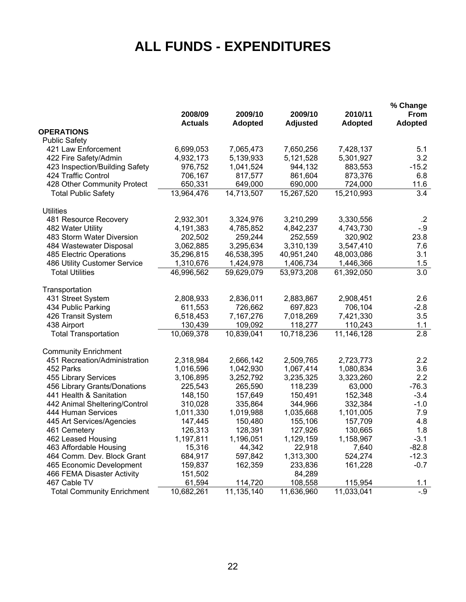# **ALL FUNDS - EXPENDITURES**

|                                   |                |                |                 |                | % Change         |
|-----------------------------------|----------------|----------------|-----------------|----------------|------------------|
|                                   | 2008/09        | 2009/10        | 2009/10         | 2010/11        | From             |
|                                   | <b>Actuals</b> | <b>Adopted</b> | <b>Adjusted</b> | <b>Adopted</b> | <b>Adopted</b>   |
| <b>OPERATIONS</b>                 |                |                |                 |                |                  |
| <b>Public Safety</b>              |                |                |                 |                |                  |
| 421 Law Enforcement               | 6,699,053      | 7,065,473      | 7,650,256       | 7,428,137      | 5.1              |
| 422 Fire Safety/Admin             | 4,932,173      | 5,139,933      | 5,121,528       | 5,301,927      | 3.2              |
| 423 Inspection/Building Safety    | 976,752        | 1,041,524      | 944,132         | 883,553        | $-15.2$          |
| 424 Traffic Control               | 706,167        | 817,577        | 861,604         | 873,376        | 6.8              |
| 428 Other Community Protect       | 650,331        | 649,000        | 690,000         | 724,000        | 11.6             |
| <b>Total Public Safety</b>        | 13,964,476     | 14,713,507     | 15,267,520      | 15,210,993     | 3.4              |
| <b>Utilities</b>                  |                |                |                 |                |                  |
| 481 Resource Recovery             | 2,932,301      | 3,324,976      | 3,210,299       | 3,330,556      | $.2\,$           |
| 482 Water Utility                 | 4,191,383      | 4,785,852      | 4,842,237       | 4,743,730      | $-9$             |
| 483 Storm Water Diversion         | 202,502        | 259,244        | 252,559         | 320,902        | 23.8             |
| 484 Wastewater Disposal           | 3,062,885      | 3,295,634      | 3,310,139       | 3,547,410      | 7.6              |
| 485 Electric Operations           | 35,296,815     | 46,538,395     | 40,951,240      | 48,003,086     | 3.1              |
| 486 Utility Customer Service      | 1,310,676      | 1,424,978      | 1,406,734       | 1,446,366      | 1.5              |
| <b>Total Utilities</b>            | 46,996,562     | 59,629,079     | 53,973,208      | 61,392,050     | $\overline{3.0}$ |
| Transportation                    |                |                |                 |                |                  |
| 431 Street System                 | 2,808,933      | 2,836,011      | 2,883,867       | 2,908,451      | 2.6              |
| 434 Public Parking                | 611,553        | 726,662        | 697,823         | 706,104        | $-2.8$           |
| 426 Transit System                | 6,518,453      | 7,167,276      | 7,018,269       | 7,421,330      | 3.5              |
| 438 Airport                       | 130,439        | 109,092        | 118,277         | 110,243        | 1.1              |
| <b>Total Transportation</b>       | 10,069,378     | 10,839,041     | 10,718,236      | 11, 146, 128   | 2.8              |
| <b>Community Enrichment</b>       |                |                |                 |                |                  |
| 451 Recreation/Administration     | 2,318,984      | 2,666,142      | 2,509,765       | 2,723,773      | 2.2              |
| 452 Parks                         | 1,016,596      | 1,042,930      | 1,067,414       | 1,080,834      | 3.6              |
| 455 Library Services              | 3,106,895      | 3,252,792      | 3,235,325       | 3,323,260      | 2.2              |
| 456 Library Grants/Donations      | 225,543        | 265,590        | 118,239         | 63,000         | $-76.3$          |
| 441 Health & Sanitation           | 148,150        | 157,649        | 150,491         | 152,348        | $-3.4$           |
| 442 Animal Sheltering/Control     | 310,028        | 335,864        | 344,966         | 332,384        | $-1.0$           |
| 444 Human Services                | 1,011,330      | 1,019,988      | 1,035,668       | 1,101,005      | 7.9              |
| 445 Art Services/Agencies         | 147,445        | 150,480        | 155,106         | 157,709        | 4.8              |
| 461 Cemetery                      | 126,313        | 128,391        | 127,926         | 130,665        | 1.8              |
| 462 Leased Housing                | 1,197,811      | 1,196,051      | 1,129,159       | 1,158,967      | $-3.1$           |
| 463 Affordable Housing            | 15,316         | 44,342         | 22,918          | 7,640          | $-82.8$          |
| 464 Comm. Dev. Block Grant        | 684,917        | 597,842        | 1,313,300       | 524,274        | $-12.3$          |
| 465 Economic Development          | 159,837        | 162,359        | 233,836         | 161,228        | $-0.7$           |
| 466 FEMA Disaster Activity        | 151,502        |                | 84,289          |                |                  |
| 467 Cable TV                      | 61,594         | 114,720        | 108,558         | 115,954        | <u>1.1</u>       |
| <b>Total Community Enrichment</b> | 10,682,261     | 11,135,140     | 11,636,960      | 11,033,041     | $-9$             |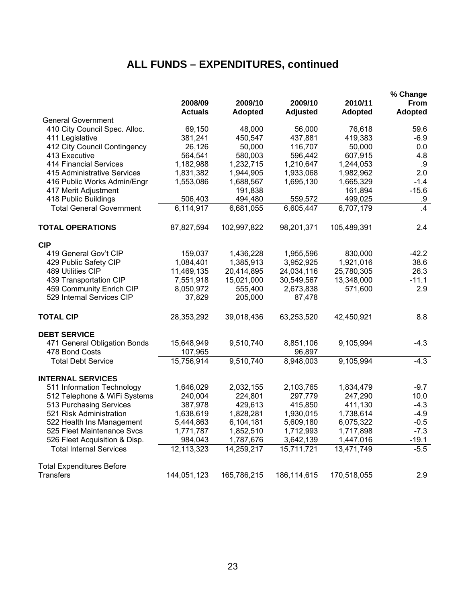### **ALL FUNDS – EXPENDITURES, continued**

|                                  | 2008/09        | 2009/10        | 2009/10         | 2010/11        | % Change<br>From |
|----------------------------------|----------------|----------------|-----------------|----------------|------------------|
|                                  | <b>Actuals</b> | <b>Adopted</b> | <b>Adjusted</b> | <b>Adopted</b> | <b>Adopted</b>   |
| <b>General Government</b>        |                |                |                 |                |                  |
| 410 City Council Spec. Alloc.    | 69,150         | 48,000         | 56,000          | 76,618         | 59.6             |
| 411 Legislative                  | 381,241        | 450,547        | 437,881         | 419,383        | $-6.9$           |
| 412 City Council Contingency     | 26,126         | 50,000         | 116,707         | 50,000         | 0.0              |
| 413 Executive                    | 564,541        | 580,003        | 596,442         | 607,915        | 4.8              |
| <b>414 Financial Services</b>    | 1,182,988      | 1,232,715      | 1,210,647       | 1,244,053      | .9               |
| 415 Administrative Services      | 1,831,382      | 1,944,905      | 1,933,068       | 1,982,962      | 2.0              |
| 416 Public Works Admin/Engr      | 1,553,086      | 1,688,567      | 1,695,130       | 1,665,329      | $-1.4$           |
| 417 Merit Adjustment             |                | 191,838        |                 | 161,894        | $-15.6$          |
| 418 Public Buildings             | 506,403        | 494,480        | 559,572         | 499,025        | .9               |
| <b>Total General Government</b>  | 6,114,917      | 6,681,055      | 6,605,447       | 6,707,179      | $\overline{.4}$  |
| <b>TOTAL OPERATIONS</b>          | 87,827,594     | 102,997,822    | 98,201,371      | 105,489,391    | 2.4              |
| <b>CIP</b>                       |                |                |                 |                |                  |
| 419 General Gov't CIP            | 159,037        | 1,436,228      | 1,955,596       | 830,000        | $-42.2$          |
| 429 Public Safety CIP            | 1,084,401      | 1,385,913      | 3,952,925       | 1,921,016      | 38.6             |
| 489 Utilities CIP                | 11,469,135     | 20,414,895     | 24,034,116      | 25,780,305     | 26.3             |
| 439 Transportation CIP           | 7,551,918      | 15,021,000     | 30,549,567      | 13,348,000     | $-11.1$          |
| 459 Community Enrich CIP         | 8,050,972      | 555,400        | 2,673,838       | 571,600        | 2.9              |
| 529 Internal Services CIP        | 37,829         | 205,000        | 87,478          |                |                  |
| <b>TOTAL CIP</b>                 | 28,353,292     | 39,018,436     | 63,253,520      | 42,450,921     | 8.8              |
| <b>DEBT SERVICE</b>              |                |                |                 |                |                  |
| 471 General Obligation Bonds     | 15,648,949     | 9,510,740      | 8,851,106       | 9,105,994      | $-4.3$           |
| 478 Bond Costs                   | 107,965        |                | 96,897          |                |                  |
| <b>Total Debt Service</b>        | 15,756,914     | 9,510,740      | 8,948,003       | 9,105,994      | $-4.3$           |
| <b>INTERNAL SERVICES</b>         |                |                |                 |                |                  |
| 511 Information Technology       | 1,646,029      | 2,032,155      | 2,103,765       | 1,834,479      | $-9.7$           |
| 512 Telephone & WiFi Systems     | 240,004        | 224,801        | 297,779         | 247,290        | 10.0             |
| 513 Purchasing Services          | 387,978        | 429,613        | 415,850         | 411,130        | $-4.3$           |
| 521 Risk Administration          | 1,638,619      | 1,828,281      | 1,930,015       | 1,738,614      | $-4.9$           |
| 522 Health Ins Management        | 5,444,863      | 6,104,181      | 5,609,180       | 6,075,322      | $-0.5$           |
| 525 Fleet Maintenance Svcs       | 1,771,787      | 1,852,510      | 1,712,993       | 1,717,898      | $-7.3$           |
| 526 Fleet Acquisition & Disp.    | 984,043        | 1,787,676      | 3,642,139       | 1,447,016      | $-19.1$          |
| <b>Total Internal Services</b>   | 12,113,323     | 14,259,217     | 15,711,721      | 13,471,749     | $-5.5$           |
| <b>Total Expenditures Before</b> |                |                |                 |                |                  |
| <b>Transfers</b>                 | 144,051,123    | 165,786,215    | 186,114,615     | 170,518,055    | 2.9              |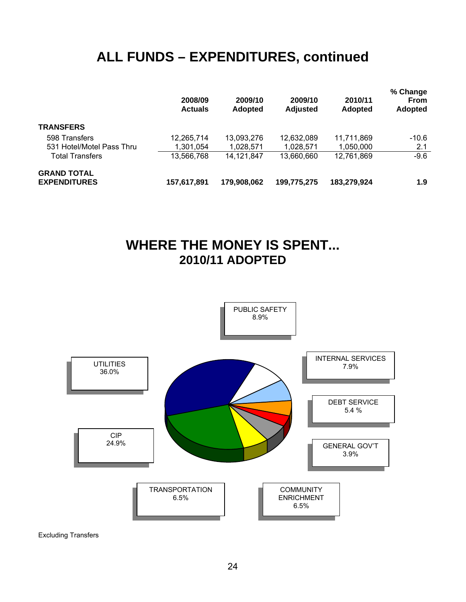### **ALL FUNDS – EXPENDITURES, continued**

|                                           | 2008/09<br><b>Actuals</b> | 2009/10<br><b>Adopted</b> | 2009/10<br><b>Adjusted</b> | 2010/11<br><b>Adopted</b> | % Change<br><b>From</b><br><b>Adopted</b> |
|-------------------------------------------|---------------------------|---------------------------|----------------------------|---------------------------|-------------------------------------------|
| <b>TRANSFERS</b>                          |                           |                           |                            |                           |                                           |
| 598 Transfers                             | 12,265,714                | 13,093,276                | 12,632,089                 | 11,711,869                | $-10.6$                                   |
| 531 Hotel/Motel Pass Thru                 | 1,301,054                 | 1,028,571                 | 1,028,571                  | 1,050,000                 | 2.1                                       |
| <b>Total Transfers</b>                    | 13,566,768                | 14,121,847                | 13,660,660                 | 12,761,869                | $-9.6$                                    |
| <b>GRAND TOTAL</b><br><b>EXPENDITURES</b> | 157,617,891               | 179,908,062               | 199,775,275                | 183,279,924               | 1.9                                       |

### **WHERE THE MONEY IS SPENT... 2010/11 ADOPTED**



Excluding Transfers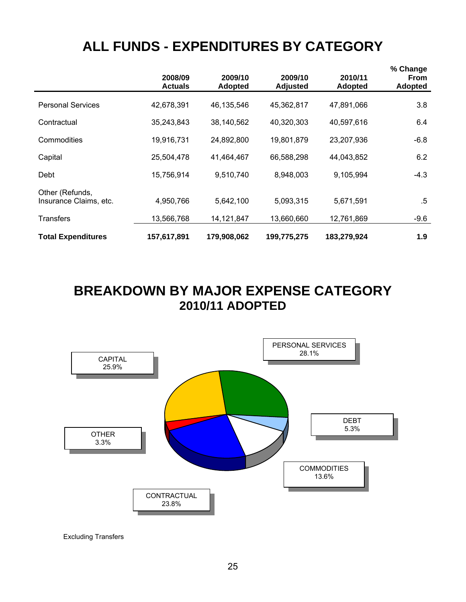# **ALL FUNDS - EXPENDITURES BY CATEGORY**

|                                           | 2008/09<br><b>Actuals</b> | 2009/10<br><b>Adopted</b> | 2009/10<br>Adjusted | 2010/11<br><b>Adopted</b> | % Change<br><b>From</b><br><b>Adopted</b> |
|-------------------------------------------|---------------------------|---------------------------|---------------------|---------------------------|-------------------------------------------|
| <b>Personal Services</b>                  | 42,678,391                | 46,135,546                | 45,362,817          | 47,891,066                | 3.8                                       |
| Contractual                               | 35,243,843                | 38,140,562                | 40,320,303          | 40,597,616                | 6.4                                       |
| Commodities                               | 19,916,731                | 24,892,800                | 19,801,879          | 23,207,936                | $-6.8$                                    |
| Capital                                   | 25,504,478                | 41,464,467                | 66,588,298          | 44,043,852                | 6.2                                       |
| Debt                                      | 15,756,914                | 9,510,740                 | 8,948,003           | 9,105,994                 | $-4.3$                                    |
| Other (Refunds,<br>Insurance Claims, etc. | 4,950,766                 | 5,642,100                 | 5,093,315           | 5,671,591                 | .5                                        |
| <b>Transfers</b>                          | 13,566,768                | 14, 121, 847              | 13,660,660          | 12,761,869                | $-9.6$                                    |
| <b>Total Expenditures</b>                 | 157,617,891               | 179,908,062               | 199,775,275         | 183,279,924               | 1.9                                       |

**BREAKDOWN BY MAJOR EXPENSE CATEGORY 2010/11 ADOPTED** 



Excluding Transfers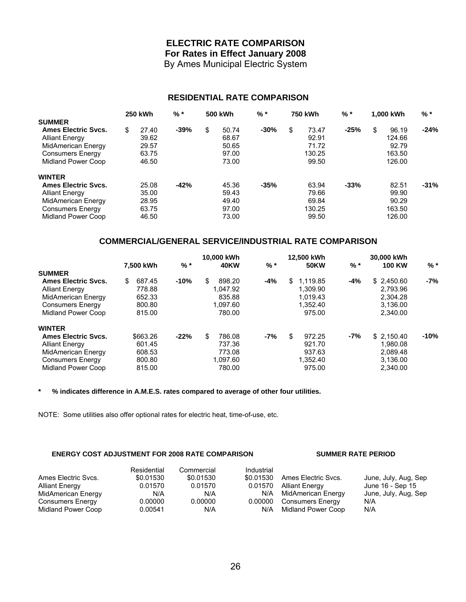#### **ELECTRIC RATE COMPARISON**

**For Rates in Effect January 2008** 

By Ames Municipal Electric System

#### **RESIDENTIAL RATE COMPARISON**

|                            | <b>250 kWh</b> | % *    | 500 kWh     | $%$ *  | 750 kWh |        | $%$ *  | 1.000 kWh |        | $%$ *  |
|----------------------------|----------------|--------|-------------|--------|---------|--------|--------|-----------|--------|--------|
| <b>SUMMER</b>              |                |        |             |        |         |        |        |           |        |        |
| <b>Ames Electric Sycs.</b> | \$<br>27.40    | $-39%$ | \$<br>50.74 | $-30%$ | \$      | 73.47  | $-25%$ | \$        | 96.19  | $-24%$ |
| <b>Alliant Energy</b>      | 39.62          |        | 68.67       |        |         | 92.91  |        |           | 124.66 |        |
| <b>MidAmerican Energy</b>  | 29.57          |        | 50.65       |        |         | 71.72  |        |           | 92.79  |        |
| <b>Consumers Energy</b>    | 63.75          |        | 97.00       |        |         | 130.25 |        |           | 163.50 |        |
| Midland Power Coop         | 46.50          |        | 73.00       |        |         | 99.50  |        |           | 126.00 |        |
| <b>WINTER</b>              |                |        |             |        |         |        |        |           |        |        |
| <b>Ames Electric Svcs.</b> | 25.08          | $-42%$ | 45.36       | $-35%$ |         | 63.94  | $-33%$ |           | 82.51  | $-31%$ |
| <b>Alliant Energy</b>      | 35.00          |        | 59.43       |        |         | 79.66  |        |           | 99.90  |        |
| <b>MidAmerican Energy</b>  | 28.95          |        | 49.40       |        |         | 69.84  |        |           | 90.29  |        |
| <b>Consumers Energy</b>    | 63.75          |        | 97.00       |        |         | 130.25 |        |           | 163.50 |        |
| Midland Power Coop         | 46.50          |        | 73.00       |        |         | 99.50  |        |           | 126.00 |        |

#### **COMMERCIAL/GENERAL SERVICE/INDUSTRIAL RATE COMPARISON**

|                            |              |        | 10.000 kWh   |       | 12,500 kWh     |     |               |        |  |
|----------------------------|--------------|--------|--------------|-------|----------------|-----|---------------|--------|--|
|                            | 7.500 kWh    | $%$ *  | 40KW         | $%$ * | <b>50KW</b>    | %*  | <b>100 KW</b> | $%$ *  |  |
| <b>SUMMER</b>              |              |        |              |       |                |     |               |        |  |
| <b>Ames Electric Svcs.</b> | \$<br>687.45 | $-10%$ | \$<br>898.20 | -4%   | 1.119.85<br>S. | -4% | \$2.450.60    | -7%    |  |
| <b>Alliant Energy</b>      | 778.88       |        | 1.047.92     |       | 1.309.90       |     | 2.793.96      |        |  |
| MidAmerican Energy         | 652.33       |        | 835.88       |       | 1.019.43       |     | 2.304.28      |        |  |
| <b>Consumers Energy</b>    | 800.80       |        | 1.097.60     |       | 1.352.40       |     | 3.136.00      |        |  |
| Midland Power Coop         | 815.00       |        | 780.00       |       | 975.00         |     | 2.340.00      |        |  |
| <b>WINTER</b>              |              |        |              |       |                |     |               |        |  |
| <b>Ames Electric Svcs.</b> | \$663.26     | $-22%$ | \$<br>786.08 | $-7%$ | \$<br>972.25   | -7% | \$2.150.40    | $-10%$ |  |
| <b>Alliant Energy</b>      | 601.45       |        | 737.36       |       | 921.70         |     | 1.980.08      |        |  |
| <b>MidAmerican Energy</b>  | 608.53       |        | 773.08       |       | 937.63         |     | 2.089.48      |        |  |
| <b>Consumers Energy</b>    | 800.80       |        | 1.097.60     |       | 1.352.40       |     | 3.136.00      |        |  |
| Midland Power Coop         | 815.00       |        | 780.00       |       | 975.00         |     | 2,340.00      |        |  |

**\* % indicates difference in A.M.E.S. rates compared to average of other four utilities.** 

NOTE: Some utilities also offer optional rates for electric heat, time-of-use, etc.

#### **ENERGY COST ADJUSTMENT FOR 2008 RATE COMPARISON SUMMER RATE PERIOD**

| Ames Electric Svcs.<br><b>Alliant Energy</b><br>MidAmerican Energy<br>Consumers Energy<br>Midland Power Coop | Residential<br>\$0.01530<br>0.01570<br>N/A<br>0.00000<br>0.00541 | Commercial<br>\$0.01530<br>0.01570<br>N/A<br>0.00000<br>N/A | Industrial<br>\$0.01530<br>0.01570<br>N/A<br>0.00000<br>N/A | Ames Electric Sycs.<br><b>Alliant Energy</b><br>MidAmerican Energy<br><b>Consumers Energy</b><br>Midland Power Coop | June, July, Aug, Sep<br>June 16 - Sep 15<br>June, July, Aug, Sep<br>N/A<br>N/A |
|--------------------------------------------------------------------------------------------------------------|------------------------------------------------------------------|-------------------------------------------------------------|-------------------------------------------------------------|---------------------------------------------------------------------------------------------------------------------|--------------------------------------------------------------------------------|
|--------------------------------------------------------------------------------------------------------------|------------------------------------------------------------------|-------------------------------------------------------------|-------------------------------------------------------------|---------------------------------------------------------------------------------------------------------------------|--------------------------------------------------------------------------------|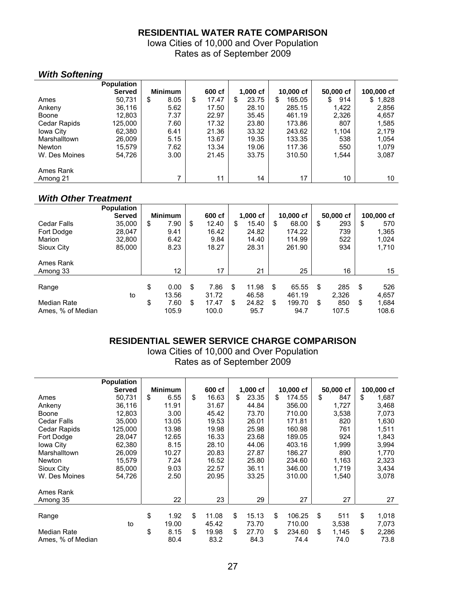#### **RESIDENTIAL WATER RATE COMPARISON**

Iowa Cities of 10,000 and Over Population Rates as of September 2009

#### *With Softening*

|               | <b>Population</b> |                |             |             |             |           |             |
|---------------|-------------------|----------------|-------------|-------------|-------------|-----------|-------------|
|               | <b>Served</b>     | <b>Minimum</b> | 600 cf      | $1,000$ cf  | 10,000 cf   | 50,000 cf | 100,000 cf  |
| Ames          | 50,731            | 8.05<br>S      | 17.47<br>\$ | 23.75<br>\$ | 165.05<br>S | 914<br>S  | 1,828<br>\$ |
| Ankeny        | 36.116            | 5.62           | 17.50       | 28.10       | 285.15      | 1,422     | 2,856       |
| <b>Boone</b>  | 12,803            | 7.37           | 22.97       | 35.45       | 461.19      | 2,326     | 4,657       |
| Cedar Rapids  | 125,000           | 7.60           | 17.32       | 23.80       | 173.86      | 807       | 1,585       |
| Iowa City     | 62,380            | 6.41           | 21.36       | 33.32       | 243.62      | 1.104     | 2,179       |
| Marshalltown  | 26.009            | 5.15           | 13.67       | 19.35       | 133.35      | 538       | 1.054       |
| <b>Newton</b> | 15.579            | 7.62           | 13.34       | 19.06       | 117.36      | 550       | 1.079       |
| W. Des Moines | 54.726            | 3.00           | 21.45       | 33.75       | 310.50      | 1.544     | 3,087       |
| Ames Rank     |                   |                |             |             |             |           |             |
| Among 21      |                   | 7              |             | 11<br>14    | 17          | 10        | 10          |

#### *With Other Treatment*

|                       | <b>Population</b> |                |             |             |              |           |             |
|-----------------------|-------------------|----------------|-------------|-------------|--------------|-----------|-------------|
|                       | <b>Served</b>     | <b>Minimum</b> | 600 cf      | $1,000$ cf  | 10,000 cf    | 50,000 cf | 100,000 cf  |
| Cedar Falls           | 35,000            | \$<br>7.90     | \$<br>12.40 | \$<br>15.40 | \$<br>68.00  | \$<br>293 | \$<br>570   |
| Fort Dodge            | 28,047            | 9.41           | 16.42       | 24.82       | 174.22       | 739       | 1,365       |
| Marion                | 32.800            | 6.42           | 9.84        | 14.40       | 114.99       | 522       | 1.024       |
| Sioux City            | 85,000            | 8.23           | 18.27       | 28.31       | 261.90       | 934       | 1,710       |
| Ames Rank<br>Among 33 |                   | 12             | 17          | 21          | 25           | 16        | 15          |
|                       |                   |                |             |             |              |           |             |
| Range                 |                   | \$<br>0.00     | \$<br>7.86  | \$<br>11.98 | \$<br>65.55  | \$<br>285 | \$<br>526   |
|                       | to                | 13.56          | 31.72       | 46.58       | 461.19       | 2,326     | 4,657       |
| Median Rate           |                   | \$<br>7.60     | \$<br>17.47 | \$<br>24.82 | \$<br>199.70 | \$<br>850 | \$<br>1,684 |
| Ames, % of Median     |                   | 105.9          | 100.0       | 95.7        | 94.7         | 107.5     | 108.6       |

#### **RESIDENTIAL SEWER SERVICE CHARGE COMPARISON**

Iowa Cities of 10,000 and Over Population Rates as of September 2009

|                     | <b>Population</b> |                |    |             |             |              |             |             |
|---------------------|-------------------|----------------|----|-------------|-------------|--------------|-------------|-------------|
|                     | <b>Served</b>     | <b>Minimum</b> |    | 600 cf      | 1,000 cf    | 10,000 cf    | 50,000 cf   | 100,000 cf  |
| Ames                | 50,731            | \$<br>6.55     |    | \$<br>16.63 | \$<br>23.35 | \$<br>174.55 | \$<br>847   | \$<br>1,687 |
| Ankeny              | 36,116            | 11.91          |    | 31.67       | 44.84       | 356.00       | 1,727       | 3,468       |
| Boone               | 12,803            | 3.00           |    | 45.42       | 73.70       | 710.00       | 3,538       | 7,073       |
| <b>Cedar Falls</b>  | 35,000            | 13.05          |    | 19.53       | 26.01       | 171.81       | 820         | 1,630       |
| Cedar Rapids        | 125,000           | 13.98          |    | 19.98       | 25.98       | 160.98       | 761         | 1,511       |
| Fort Dodge          | 28,047            | 12.65          |    | 16.33       | 23.68       | 189.05       | 924         | 1,843       |
| Iowa City           | 62,380            | 8.15           |    | 28.10       | 44.06       | 403.16       | 1,999       | 3,994       |
| <b>Marshalltown</b> | 26,009            | 10.27          |    | 20.83       | 27.87       | 186.27       | 890         | 1,770       |
| <b>Newton</b>       | 15,579            | 7.24           |    | 16.52       | 25.80       | 234.60       | 1,163       | 2,323       |
| Sioux City          | 85,000            | 9.03           |    | 22.57       | 36.11       | 346.00       | 1,719       | 3,434       |
| W. Des Moines       | 54,726            | 2.50           |    | 20.95       | 33.25       | 310.00       | 1,540       | 3,078       |
| Ames Rank           |                   |                |    |             |             |              |             |             |
| Among 35            |                   |                | 22 | 23          | 29          | 27           | 27          | 27          |
|                     |                   |                |    |             |             |              |             |             |
| Range               |                   | \$<br>1.92     |    | \$<br>11.08 | \$<br>15.13 | \$<br>106.25 | \$<br>511   | \$<br>1,018 |
|                     | to                | 19.00          |    | 45.42       | 73.70       | 710.00       | 3,538       | 7,073       |
| <b>Median Rate</b>  |                   | \$<br>8.15     |    | \$<br>19.98 | \$<br>27.70 | \$<br>234.60 | \$<br>1,145 | \$<br>2,286 |
| Ames, % of Median   |                   | 80.4           |    | 83.2        | 84.3        | 74.4         | 74.0        | 73.8        |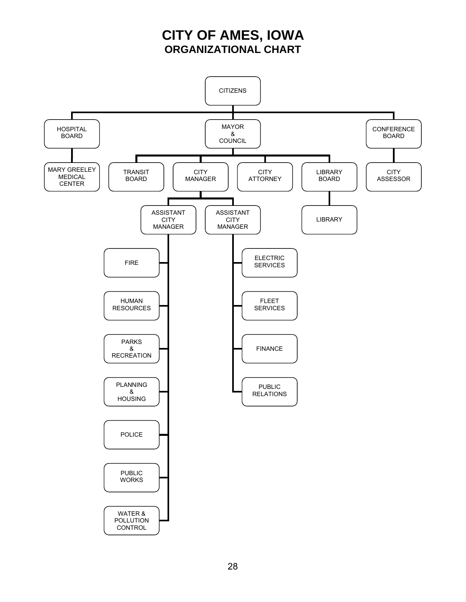### **CITY OF AMES, IOWA ORGANIZATIONAL CHART**

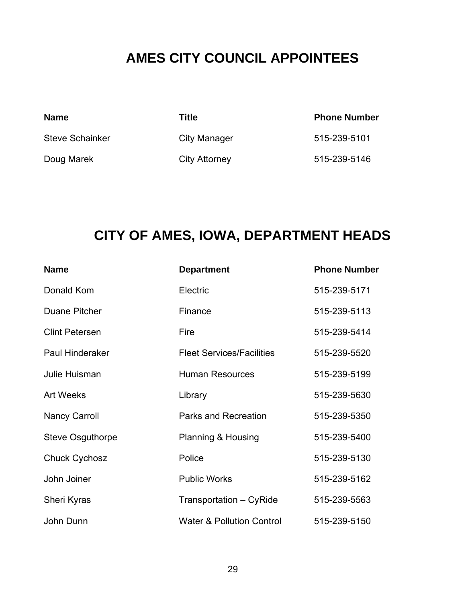# **AMES CITY COUNCIL APPOINTEES**

| <b>Name</b>            | Title         | <b>Phone Number</b> |
|------------------------|---------------|---------------------|
| <b>Steve Schainker</b> | City Manager  | 515-239-5101        |
| Doug Marek             | City Attorney | 515-239-5146        |

# **CITY OF AMES, IOWA, DEPARTMENT HEADS**

| <b>Name</b>             | <b>Department</b>                    | <b>Phone Number</b> |
|-------------------------|--------------------------------------|---------------------|
| Donald Kom              | Electric                             | 515-239-5171        |
| Duane Pitcher           | Finance                              | 515-239-5113        |
| <b>Clint Petersen</b>   | Fire                                 | 515-239-5414        |
| Paul Hinderaker         | <b>Fleet Services/Facilities</b>     | 515-239-5520        |
| Julie Huisman           | <b>Human Resources</b>               | 515-239-5199        |
| <b>Art Weeks</b>        | Library                              | 515-239-5630        |
| <b>Nancy Carroll</b>    | <b>Parks and Recreation</b>          | 515-239-5350        |
| <b>Steve Osguthorpe</b> | Planning & Housing                   | 515-239-5400        |
| <b>Chuck Cychosz</b>    | Police                               | 515-239-5130        |
| John Joiner             | <b>Public Works</b>                  | 515-239-5162        |
| Sheri Kyras             | Transportation - CyRide              | 515-239-5563        |
| John Dunn               | <b>Water &amp; Pollution Control</b> | 515-239-5150        |